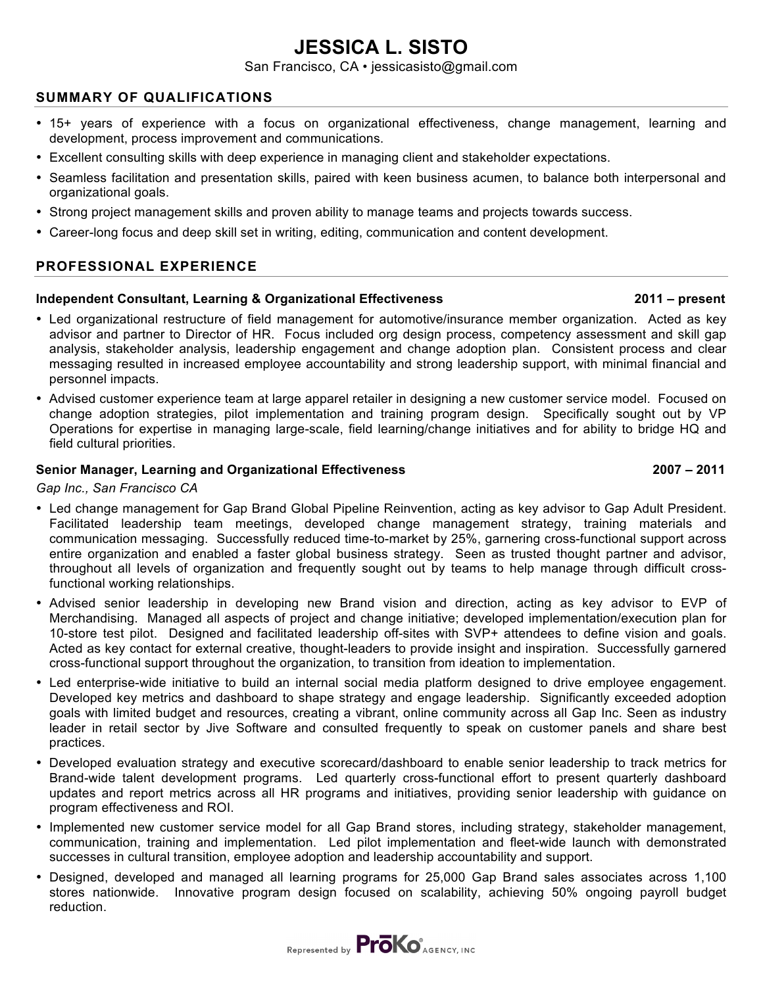# **JESSICA L. SISTO**

San Francisco, CA • jessicasisto@gmail.com

# **SUMMARY OF QUALIFICATIONS**

- 15+ years of experience with a focus on organizational effectiveness, change management, learning and development, process improvement and communications.
- Excellent consulting skills with deep experience in managing client and stakeholder expectations.
- Seamless facilitation and presentation skills, paired with keen business acumen, to balance both interpersonal and organizational goals.
- Strong project management skills and proven ability to manage teams and projects towards success.
- Career-long focus and deep skill set in writing, editing, communication and content development.

### **PROFESSIONAL EXPERIENCE**

#### **Independent Consultant, Learning & Organizational Effectiveness 2011 – present**

- Led organizational restructure of field management for automotive/insurance member organization. Acted as key advisor and partner to Director of HR. Focus included org design process, competency assessment and skill gap analysis, stakeholder analysis, leadership engagement and change adoption plan. Consistent process and clear messaging resulted in increased employee accountability and strong leadership support, with minimal financial and personnel impacts.
- Advised customer experience team at large apparel retailer in designing a new customer service model. Focused on change adoption strategies, pilot implementation and training program design. Specifically sought out by VP Operations for expertise in managing large-scale, field learning/change initiatives and for ability to bridge HQ and field cultural priorities.

# **Senior Manager, Learning and Organizational Effectiveness 2007 – 2011**

#### *Gap Inc., San Francisco CA*

- Led change management for Gap Brand Global Pipeline Reinvention, acting as key advisor to Gap Adult President. Facilitated leadership team meetings, developed change management strategy, training materials and communication messaging. Successfully reduced time-to-market by 25%, garnering cross-functional support across entire organization and enabled a faster global business strategy. Seen as trusted thought partner and advisor, throughout all levels of organization and frequently sought out by teams to help manage through difficult crossfunctional working relationships.
- Advised senior leadership in developing new Brand vision and direction, acting as key advisor to EVP of Merchandising. Managed all aspects of project and change initiative; developed implementation/execution plan for 10-store test pilot. Designed and facilitated leadership off-sites with SVP+ attendees to define vision and goals. Acted as key contact for external creative, thought-leaders to provide insight and inspiration. Successfully garnered cross-functional support throughout the organization, to transition from ideation to implementation.
- Led enterprise-wide initiative to build an internal social media platform designed to drive employee engagement. Developed key metrics and dashboard to shape strategy and engage leadership. Significantly exceeded adoption goals with limited budget and resources, creating a vibrant, online community across all Gap Inc. Seen as industry leader in retail sector by Jive Software and consulted frequently to speak on customer panels and share best practices.
- Developed evaluation strategy and executive scorecard/dashboard to enable senior leadership to track metrics for Brand-wide talent development programs. Led quarterly cross-functional effort to present quarterly dashboard updates and report metrics across all HR programs and initiatives, providing senior leadership with guidance on program effectiveness and ROI.
- Implemented new customer service model for all Gap Brand stores, including strategy, stakeholder management, communication, training and implementation. Led pilot implementation and fleet-wide launch with demonstrated successes in cultural transition, employee adoption and leadership accountability and support.
- Designed, developed and managed all learning programs for 25,000 Gap Brand sales associates across 1,100 stores nationwide. Innovative program design focused on scalability, achieving 50% ongoing payroll budget reduction.